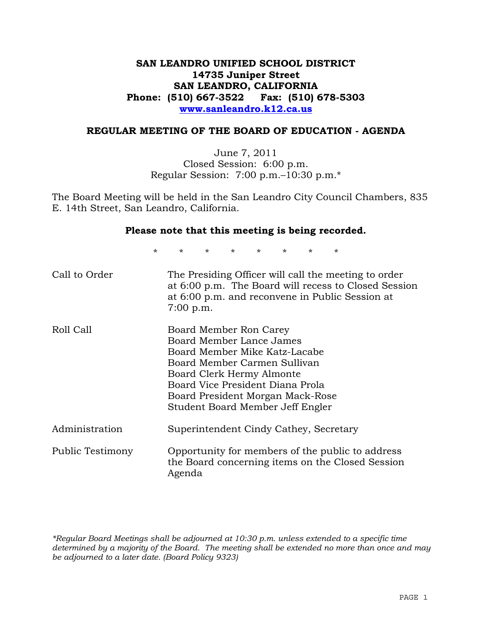# **SAN LEANDRO UNIFIED SCHOOL DISTRICT 14735 Juniper Street SAN LEANDRO, CALIFORNIA Phone: (510) 667-3522 Fax: (510) 678-5303 www.sanleandro.k12.ca.us**

#### **REGULAR MEETING OF THE BOARD OF EDUCATION - AGENDA**

June 7, 2011 Closed Session: 6:00 p.m. Regular Session: 7:00 p.m.–10:30 p.m.\*

The Board Meeting will be held in the San Leandro City Council Chambers, 835 E. 14th Street, San Leandro, California.

#### **Please note that this meeting is being recorded.**

\* \* \* \* \* \* \* \*

| Call to Order    | The Presiding Officer will call the meeting to order<br>at 6:00 p.m. The Board will recess to Closed Session<br>at 6:00 p.m. and reconvene in Public Session at<br>$7:00$ p.m.                                                                               |
|------------------|--------------------------------------------------------------------------------------------------------------------------------------------------------------------------------------------------------------------------------------------------------------|
| Roll Call        | Board Member Ron Carey<br>Board Member Lance James<br>Board Member Mike Katz-Lacabe<br>Board Member Carmen Sullivan<br>Board Clerk Hermy Almonte<br>Board Vice President Diana Prola<br>Board President Morgan Mack-Rose<br>Student Board Member Jeff Engler |
| Administration   | Superintendent Cindy Cathey, Secretary                                                                                                                                                                                                                       |
| Public Testimony | Opportunity for members of the public to address<br>the Board concerning items on the Closed Session<br>Agenda                                                                                                                                               |

*\*Regular Board Meetings shall be adjourned at 10:30 p.m. unless extended to a specific time determined by a majority of the Board. The meeting shall be extended no more than once and may be adjourned to a later date. (Board Policy 9323)*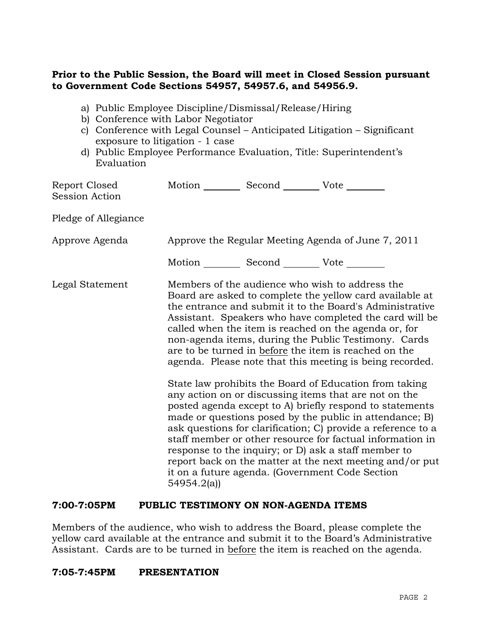## **Prior to the Public Session, the Board will meet in Closed Session pursuant to Government Code Sections 54957, 54957.6, and 54956.9.**

- a) Public Employee Discipline/Dismissal/Release/Hiring
- b) Conference with Labor Negotiator
- c) Conference with Legal Counsel Anticipated Litigation Significant exposure to litigation - 1 case
- d) Public Employee Performance Evaluation, Title: Superintendent's Evaluation

| Report Closed<br><b>Session Action</b> | Motion __________ Second __________ Vote ________  |  |                                                                                                                                                                                                                                                                                                                                                                                                                                                                                                                                                                                                                                                                                                                                                                                                                                                                                                                                                                                                                        |
|----------------------------------------|----------------------------------------------------|--|------------------------------------------------------------------------------------------------------------------------------------------------------------------------------------------------------------------------------------------------------------------------------------------------------------------------------------------------------------------------------------------------------------------------------------------------------------------------------------------------------------------------------------------------------------------------------------------------------------------------------------------------------------------------------------------------------------------------------------------------------------------------------------------------------------------------------------------------------------------------------------------------------------------------------------------------------------------------------------------------------------------------|
| Pledge of Allegiance                   |                                                    |  |                                                                                                                                                                                                                                                                                                                                                                                                                                                                                                                                                                                                                                                                                                                                                                                                                                                                                                                                                                                                                        |
| Approve Agenda                         | Approve the Regular Meeting Agenda of June 7, 2011 |  |                                                                                                                                                                                                                                                                                                                                                                                                                                                                                                                                                                                                                                                                                                                                                                                                                                                                                                                                                                                                                        |
|                                        | Motion __________ Second __________ Vote ________  |  |                                                                                                                                                                                                                                                                                                                                                                                                                                                                                                                                                                                                                                                                                                                                                                                                                                                                                                                                                                                                                        |
| Legal Statement                        | 54954.2(a)                                         |  | Members of the audience who wish to address the<br>Board are asked to complete the yellow card available at<br>the entrance and submit it to the Board's Administrative<br>Assistant. Speakers who have completed the card will be<br>called when the item is reached on the agenda or, for<br>non-agenda items, during the Public Testimony. Cards<br>are to be turned in before the item is reached on the<br>agenda. Please note that this meeting is being recorded.<br>State law prohibits the Board of Education from taking<br>any action on or discussing items that are not on the<br>posted agenda except to A) briefly respond to statements<br>made or questions posed by the public in attendance; B)<br>ask questions for clarification; C) provide a reference to a<br>staff member or other resource for factual information in<br>response to the inquiry; or D) ask a staff member to<br>report back on the matter at the next meeting and/or put<br>it on a future agenda. (Government Code Section |

## **7:00-7:05PM PUBLIC TESTIMONY ON NON-AGENDA ITEMS**

Members of the audience, who wish to address the Board, please complete the yellow card available at the entrance and submit it to the Board's Administrative Assistant. Cards are to be turned in before the item is reached on the agenda.

## **7:05-7:45PM PRESENTATION**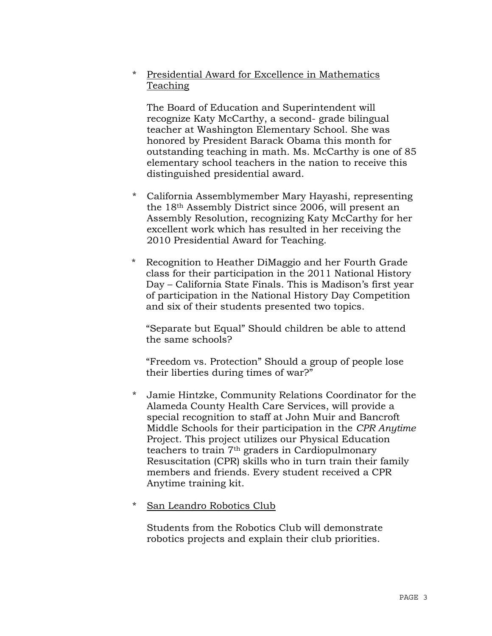# \* Presidential Award for Excellence in Mathematics Teaching

 The Board of Education and Superintendent will recognize Katy McCarthy, a second- grade bilingual teacher at Washington Elementary School. She was honored by President Barack Obama this month for outstanding teaching in math. Ms. McCarthy is one of 85 elementary school teachers in the nation to receive this distinguished presidential award.

- \* California Assemblymember Mary Hayashi, representing the 18th Assembly District since 2006, will present an Assembly Resolution, recognizing Katy McCarthy for her excellent work which has resulted in her receiving the 2010 Presidential Award for Teaching.
- Recognition to Heather DiMaggio and her Fourth Grade class for their participation in the 2011 National History Day – California State Finals. This is Madison's first year of participation in the National History Day Competition and six of their students presented two topics.

"Separate but Equal" Should children be able to attend the same schools?

"Freedom vs. Protection" Should a group of people lose their liberties during times of war?"

- \* Jamie Hintzke, Community Relations Coordinator for the Alameda County Health Care Services, will provide a special recognition to staff at John Muir and Bancroft Middle Schools for their participation in the *CPR Anytime* Project. This project utilizes our Physical Education teachers to train 7th graders in Cardiopulmonary Resuscitation (CPR) skills who in turn train their family members and friends. Every student received a CPR Anytime training kit.
- \* San Leandro Robotics Club

 Students from the Robotics Club will demonstrate robotics projects and explain their club priorities.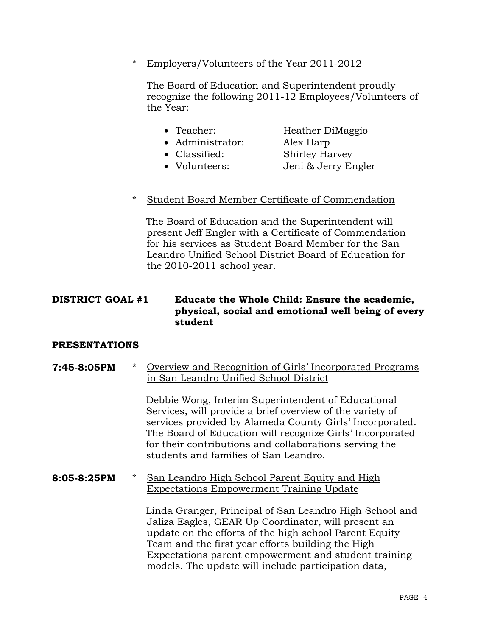\* Employers/Volunteers of the Year 2011-2012

 The Board of Education and Superintendent proudly recognize the following 2011-12 Employees/Volunteers of the Year:

- Teacher: Heather DiMaggio
- Administrator: Alex Harp
- Classified: Shirley Harvey
	-
- Volunteers: Jeni & Jerry Engler
- \* Student Board Member Certificate of Commendation

The Board of Education and the Superintendent will present Jeff Engler with a Certificate of Commendation for his services as Student Board Member for the San Leandro Unified School District Board of Education for the 2010-2011 school year.

## **DISTRICT GOAL #1 Educate the Whole Child: Ensure the academic, physical, social and emotional well being of every student**

## **PRESENTATIONS**

## **7:45-8:05PM** \* Overview and Recognition of Girls' Incorporated Programs in San Leandro Unified School District

Debbie Wong, Interim Superintendent of Educational Services, will provide a brief overview of the variety of services provided by Alameda County Girls' Incorporated. The Board of Education will recognize Girls' Incorporated for their contributions and collaborations serving the students and families of San Leandro.

## **8:05-8:25PM** \* San Leandro High School Parent Equity and High Expectations Empowerment Training Update

Linda Granger, Principal of San Leandro High School and Jaliza Eagles, GEAR Up Coordinator, will present an update on the efforts of the high school Parent Equity Team and the first year efforts building the High Expectations parent empowerment and student training models. The update will include participation data,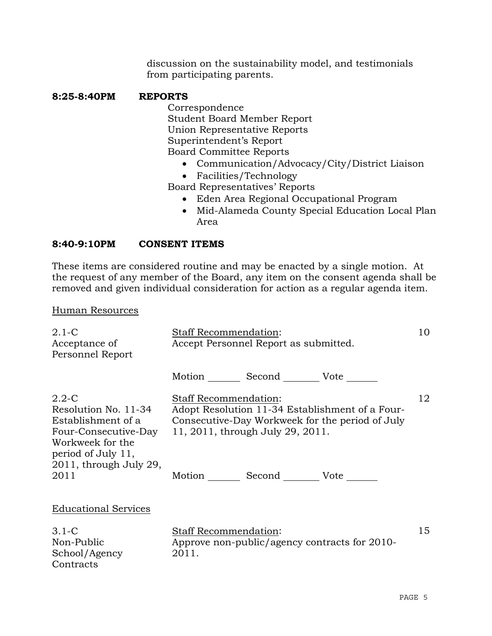discussion on the sustainability model, and testimonials from participating parents.

## **8:25-8:40PM REPORTS**

 Correspondence Student Board Member Report Union Representative Reports Superintendent's Report Board Committee Reports

- Communication/Advocacy/City/District Liaison
- Facilities/Technology

Board Representatives' Reports

- Eden Area Regional Occupational Program
- Mid-Alameda County Special Education Local Plan Area

# **8:40-9:10PM CONSENT ITEMS**

These items are considered routine and may be enacted by a single motion. At the request of any member of the Board, any item on the consent agenda shall be removed and given individual consideration for action as a regular agenda item.

## Human Resources

| $2.1-C$<br>Acceptance of<br>Personnel Report                                                                                                                | <b>Staff Recommendation:</b><br>Accept Personnel Report as submitted.                                                                                                                                                    |    |  |
|-------------------------------------------------------------------------------------------------------------------------------------------------------------|--------------------------------------------------------------------------------------------------------------------------------------------------------------------------------------------------------------------------|----|--|
|                                                                                                                                                             | Motion _________ Second __________ Vote _______                                                                                                                                                                          |    |  |
| $2.2 - C$<br>Resolution No. 11-34<br>Establishment of a<br>Four-Consecutive-Day<br>Workweek for the<br>period of July 11,<br>2011, through July 29,<br>2011 | <b>Staff Recommendation:</b><br>Adopt Resolution 11-34 Establishment of a Four-<br>Consecutive-Day Workweek for the period of July<br>11, 2011, through July 29, 2011.<br>Motion _________ Second _________ Vote _______ | 12 |  |
| <b>Educational Services</b>                                                                                                                                 |                                                                                                                                                                                                                          |    |  |
| $3.1-C$<br>Non-Public<br>School/Agency<br>Contracts                                                                                                         | <b>Staff Recommendation:</b><br>Approve non-public/agency contracts for 2010-<br>2011.                                                                                                                                   | 15 |  |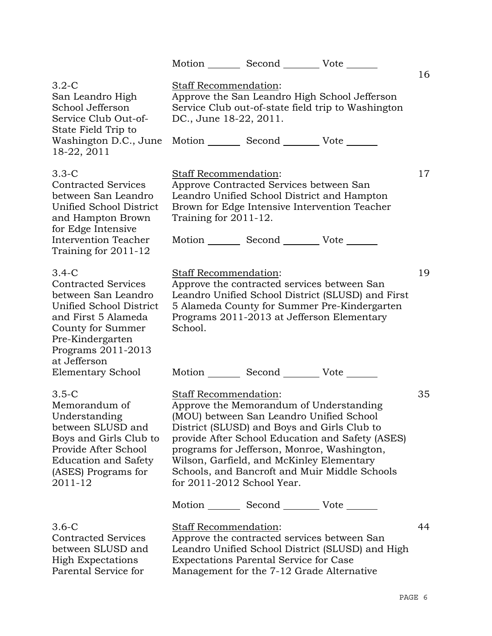|                                                                                                                                                                                    |                                                   | Motion _________ Second __________ Vote _______                                            |                                                                                                                                                                                                                                                                                        |    |
|------------------------------------------------------------------------------------------------------------------------------------------------------------------------------------|---------------------------------------------------|--------------------------------------------------------------------------------------------|----------------------------------------------------------------------------------------------------------------------------------------------------------------------------------------------------------------------------------------------------------------------------------------|----|
| $3.2-C$<br>San Leandro High<br>School Jefferson<br>Service Club Out-of-<br>State Field Trip to                                                                                     | Staff Recommendation:<br>DC., June 18-22, 2011.   |                                                                                            | Approve the San Leandro High School Jefferson<br>Service Club out-of-state field trip to Washington                                                                                                                                                                                    | 16 |
| Washington D.C., June<br>18-22, 2011                                                                                                                                               |                                                   | Motion _________ Second __________ Vote _______                                            |                                                                                                                                                                                                                                                                                        |    |
| $3.3-C$<br><b>Contracted Services</b><br>between San Leandro<br>Unified School District<br>and Hampton Brown<br>for Edge Intensive<br>Intervention Teacher<br>Training for 2011-12 | Staff Recommendation:<br>Training for $2011-12$ . | Approve Contracted Services between San<br>Motion _________ Second __________ Vote _______ | Leandro Unified School District and Hampton<br>Brown for Edge Intensive Intervention Teacher                                                                                                                                                                                           | 17 |
| $3.4-C$<br><b>Contracted Services</b><br>between San Leandro<br>Unified School District<br>and First 5 Alameda<br>County for Summer<br>Pre-Kindergarten<br>Programs 2011-2013      | Staff Recommendation:<br>School.                  |                                                                                            | Approve the contracted services between San<br>Leandro Unified School District (SLUSD) and First<br>5 Alameda County for Summer Pre-Kindergarten<br>Programs 2011-2013 at Jefferson Elementary                                                                                         | 19 |
| at Jefferson<br><b>Elementary School</b>                                                                                                                                           |                                                   | Motion Second Vote                                                                         |                                                                                                                                                                                                                                                                                        |    |
| $3.5-C$<br>Memorandum of<br>Understanding<br>between SLUSD and<br>Boys and Girls Club to<br>Provide After School<br><b>Education and Safety</b><br>(ASES) Programs for<br>2011-12  | Staff Recommendation:                             | Wilson, Garfield, and McKinley Elementary<br>for $2011-2012$ School Year.                  | Approve the Memorandum of Understanding<br>(MOU) between San Leandro Unified School<br>District (SLUSD) and Boys and Girls Club to<br>provide After School Education and Safety (ASES)<br>programs for Jefferson, Monroe, Washington,<br>Schools, and Bancroft and Muir Middle Schools | 35 |
|                                                                                                                                                                                    |                                                   | Motion _________ Second __________ Vote _______                                            |                                                                                                                                                                                                                                                                                        |    |
| $3.6 - C$<br><b>Contracted Services</b><br>between SLUSD and<br><b>High Expectations</b><br>Parental Service for                                                                   | Staff Recommendation:                             | <b>Expectations Parental Service for Case</b><br>Management for the 7-12 Grade Alternative | Approve the contracted services between San<br>Leandro Unified School District (SLUSD) and High                                                                                                                                                                                        | 44 |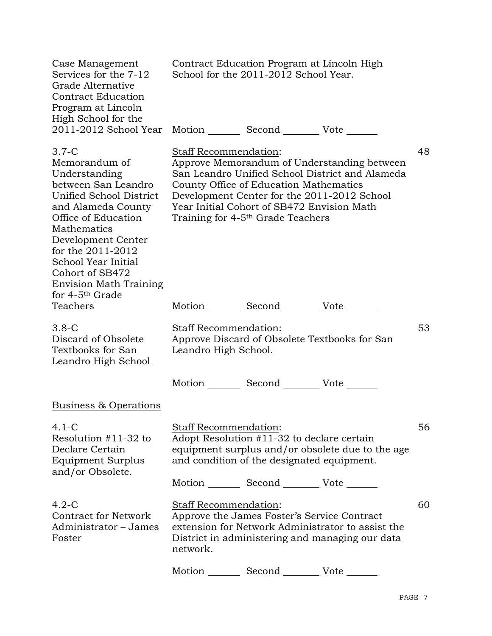| Case Management<br>Services for the 7-12<br>Grade Alternative<br><b>Contract Education</b><br>Program at Lincoln<br>High School for the                                                                                                      | Contract Education Program at Lincoln High<br>School for the 2011-2012 School Year.                                                                                                                                                                                                                                   |    |  |
|----------------------------------------------------------------------------------------------------------------------------------------------------------------------------------------------------------------------------------------------|-----------------------------------------------------------------------------------------------------------------------------------------------------------------------------------------------------------------------------------------------------------------------------------------------------------------------|----|--|
| 2011-2012 School Year                                                                                                                                                                                                                        | Motion Second Vote ______                                                                                                                                                                                                                                                                                             |    |  |
| $3.7-C$<br>Memorandum of<br>Understanding<br>between San Leandro<br>Unified School District<br>and Alameda County<br>Office of Education<br>Mathematics<br>Development Center<br>for the 2011-2012<br>School Year Initial<br>Cohort of SB472 | 48<br>Staff Recommendation:<br>Approve Memorandum of Understanding between<br>San Leandro Unified School District and Alameda<br>County Office of Education Mathematics<br>Development Center for the 2011-2012 School<br>Year Initial Cohort of SB472 Envision Math<br>Training for 4-5 <sup>th</sup> Grade Teachers |    |  |
| <b>Envision Math Training</b>                                                                                                                                                                                                                |                                                                                                                                                                                                                                                                                                                       |    |  |
| for $4-5$ <sup>th</sup> Grade<br>Teachers                                                                                                                                                                                                    | Motion _________ Second __________ Vote _______                                                                                                                                                                                                                                                                       |    |  |
| $3.8-C$<br>Discard of Obsolete<br>Textbooks for San<br>Leandro High School                                                                                                                                                                   | Staff Recommendation:<br>Approve Discard of Obsolete Textbooks for San<br>Leandro High School.                                                                                                                                                                                                                        | 53 |  |
|                                                                                                                                                                                                                                              | Motion _________ Second __________ Vote _______                                                                                                                                                                                                                                                                       |    |  |
| Business & Operations                                                                                                                                                                                                                        |                                                                                                                                                                                                                                                                                                                       |    |  |
| $4.1 - C$<br>Resolution $#11-32$ to<br>Declare Certain<br>Equipment Surplus<br>and/or Obsolete.                                                                                                                                              | Staff Recommendation:<br>Adopt Resolution #11-32 to declare certain<br>equipment surplus and/or obsolete due to the age<br>and condition of the designated equipment.                                                                                                                                                 | 56 |  |
|                                                                                                                                                                                                                                              | Motion _________ Second ___________ Vote _______                                                                                                                                                                                                                                                                      |    |  |
| $4.2-C$<br><b>Contract for Network</b><br>Administrator – James<br>Foster                                                                                                                                                                    | Staff Recommendation:<br>Approve the James Foster's Service Contract<br>extension for Network Administrator to assist the<br>District in administering and managing our data<br>network.                                                                                                                              | 60 |  |
|                                                                                                                                                                                                                                              | Motion Second Vote                                                                                                                                                                                                                                                                                                    |    |  |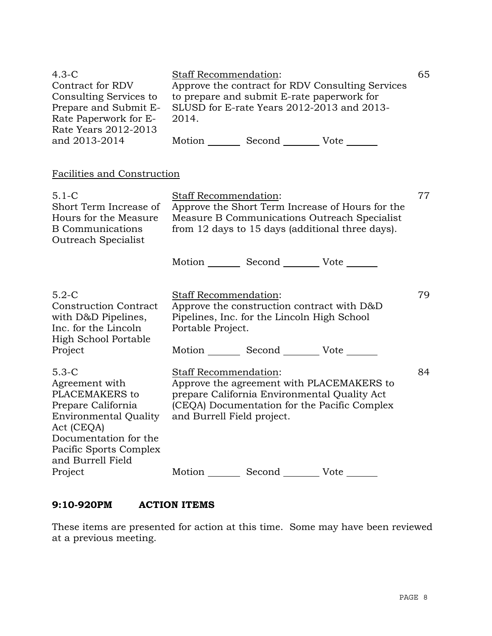| $4.3-C$<br>Contract for RDV<br>Consulting Services to<br>Prepare and Submit E-<br>Rate Paperwork for E-<br>Rate Years 2012-2013                                    | Staff Recommendation:<br>Approve the contract for RDV Consulting Services<br>to prepare and submit E-rate paperwork for<br>SLUSD for E-rate Years 2012-2013 and 2013-<br>2014.                   |                                                                                           |  |    |
|--------------------------------------------------------------------------------------------------------------------------------------------------------------------|--------------------------------------------------------------------------------------------------------------------------------------------------------------------------------------------------|-------------------------------------------------------------------------------------------|--|----|
| and 2013-2014                                                                                                                                                      |                                                                                                                                                                                                  | Motion _________ Second _________ Vote _______                                            |  |    |
| Facilities and Construction                                                                                                                                        |                                                                                                                                                                                                  |                                                                                           |  |    |
| $5.1 - C$<br>Short Term Increase of<br>Hours for the Measure<br><b>B</b> Communications<br>Outreach Specialist                                                     | Staff Recommendation:<br>Approve the Short Term Increase of Hours for the<br>Measure B Communications Outreach Specialist<br>from 12 days to 15 days (additional three days).                    |                                                                                           |  | 77 |
|                                                                                                                                                                    |                                                                                                                                                                                                  | Motion Second Vote                                                                        |  |    |
| $5.2-C$<br><b>Construction Contract</b><br>with D&D Pipelines,<br>Inc. for the Lincoln<br><b>High School Portable</b>                                              | <b>Staff Recommendation:</b><br>Portable Project.                                                                                                                                                | Approve the construction contract with D&D<br>Pipelines, Inc. for the Lincoln High School |  | 79 |
| Project                                                                                                                                                            |                                                                                                                                                                                                  | Motion Second Vote                                                                        |  |    |
| $5.3-C$<br>Agreement with<br>PLACEMAKERS to<br>Prepare California<br><b>Environmental Quality</b><br>Act (CEQA)<br>Documentation for the<br>Pacific Sports Complex | Staff Recommendation:<br>Approve the agreement with PLACEMAKERS to<br>prepare California Environmental Quality Act<br>(CEQA) Documentation for the Pacific Complex<br>and Burrell Field project. |                                                                                           |  | 84 |
| and Burrell Field<br>Project                                                                                                                                       |                                                                                                                                                                                                  | Motion _________ Second __________ Vote _______                                           |  |    |

# **9:10-920PM ACTION ITEMS**

These items are presented for action at this time. Some may have been reviewed at a previous meeting.